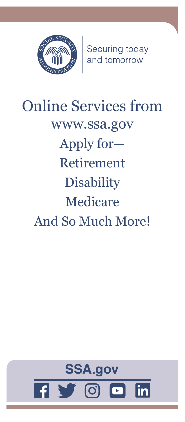

Securing today<br>and tomorrow

# Online Services from [www.ssa.gov](https://www.ssa.gov) Apply for— Retirement **Disability** Medicare And So Much More!

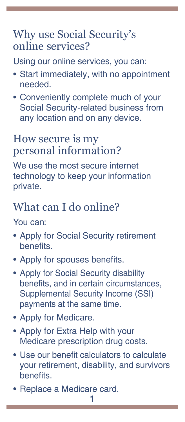# Why use Social Security's online services?

Using our online services, you can:

- Start immediately, with no appointment needed.
- Conveniently complete much of your Social Security-related business from any location and on any device.

# How secure is my personal information?

We use the most secure internet technology to keep your information private.

# What can I do online?

You can:

- [Apply for Social Security retirement](https://www.ssa.gov/applyforbenefits)  [benefits](https://www.ssa.gov/applyforbenefits).
- [Apply for spouses benefits](https://www.ssa.gov/applyforbenefits).
- [Apply for Social Security disability](https://www.ssa.gov/disability)  [benefits, and in certain circumstances](https://www.ssa.gov/disability), Supplemental Security Income (SSI) payments at the same time.
- [Apply for Medicare.](https://www.ssa.gov/medicareonly)
- [Apply for Extra Help with your](https://secure.ssa.gov/i1020/start)  [Medicare prescription drug costs](https://secure.ssa.gov/i1020/start).
- [Use our benefit calculators to calculate](https://secure.ssa.gov/planners)  [your retirement, disability, and survivors](https://secure.ssa.gov/planners)  [benefits](https://secure.ssa.gov/planners).
- [Replace a Medicare card](http://www.ssa.gov/medicarecard).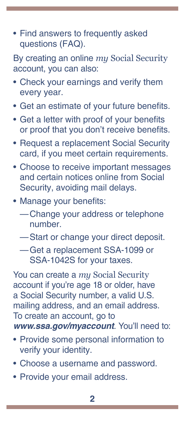• [Find answers to frequently asked](http://www.ssa.gov/faq)  [questions \(FAQ\)](http://www.ssa.gov/faq).

By creating an online *my* [Social Security](https://www.ssa.gov/myaccount/) account, you can also:

- Check your earnings and verify them every year.
- Get an estimate of your future benefits.
- Get a letter with proof of your benefits or proof that you don't receive benefits.
- Request a replacement Social Security card, if you meet certain requirements.
- Choose to receive important messages and certain notices online from Social Security, avoiding mail delays.
- Manage your benefits:
	- —Change your address or telephone number.
	- —Start or change your direct deposit.
	- —Get a replacement SSA-1099 or SSA-1042S for your taxes.

You can create a *my* [Social Security](https://www.ssa.gov/myaccount/) account if you're age 18 or older, have a Social Security number, a valid U.S. mailing address, and an email address. To create an account, go to *[www.ssa.gov/myaccount](https://www.ssa.gov/myaccount/)*. You'll need to:

- Provide some personal information to verify your identity.
- Choose a username and password.
- Provide your email address.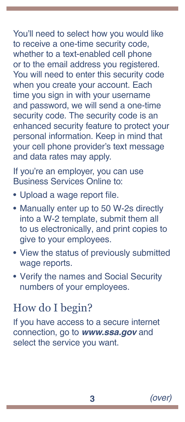You'll need to select how you would like to receive a one-time security code, whether to a text-enabled cell phone or to the email address you registered. You will need to enter this security code when you create your account. Each time you sign in with your username and password, we will send a one-time security code. The security code is an enhanced security feature to protect your personal information. Keep in mind that your cell phone provider's text message and data rates may apply.

If you're an employer, you can use [Business Services Online](https://www.ssa.gov/bso/bsowelcome.htm) to:

- Upload a wage report file.
- Manually enter up to 50 W-2s directly into a W-2 template, submit them all to us electronically, and print copies to give to your employees.
- View the status of previously submitted wage reports.
- Verify the names and Social Security numbers of your employees.

### How do I begin?

If you have access to a secure internet connection, go to *[www.ssa.gov](https://www.ssa.gov/)* and select the service you want.

**3** *(over)*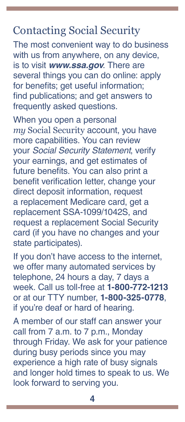## Contacting Social Security

The most convenient way to do business with us from anywhere, on any device, is to visit *[www.ssa.gov](https://www.ssa.gov)*. There are several things you can do online: apply for benefits; get useful information; find [publications](https://www.ssa.gov/pubs/); and get answers to [frequently asked questions](https://faq.ssa.gov/).

When you open a personal *my* [Social Security](https://www.ssa.gov/myaccount/) account, you have more capabilities. You can review your *Social Security Statement*, verify your earnings, and get estimates of future benefits. You can also print a benefit verification letter, change your direct deposit information, request a replacement Medicare card, get a replacement SSA-1099/1042S, and request a replacement Social Security card (if you have no changes and your state participates).

If you don't have access to the internet, we offer many automated services by telephone, 24 hours a day, 7 days a week. Call us toll-free at **1-800-772-1213** or at our TTY number, **1-800-325-0778**, if you're deaf or hard of hearing.

A member of our staff can answer your call from 7 a.m. to 7 p.m., Monday through Friday. We ask for your patience during busy periods since you may experience a high rate of busy signals and longer hold times to speak to us. We look forward to serving you.